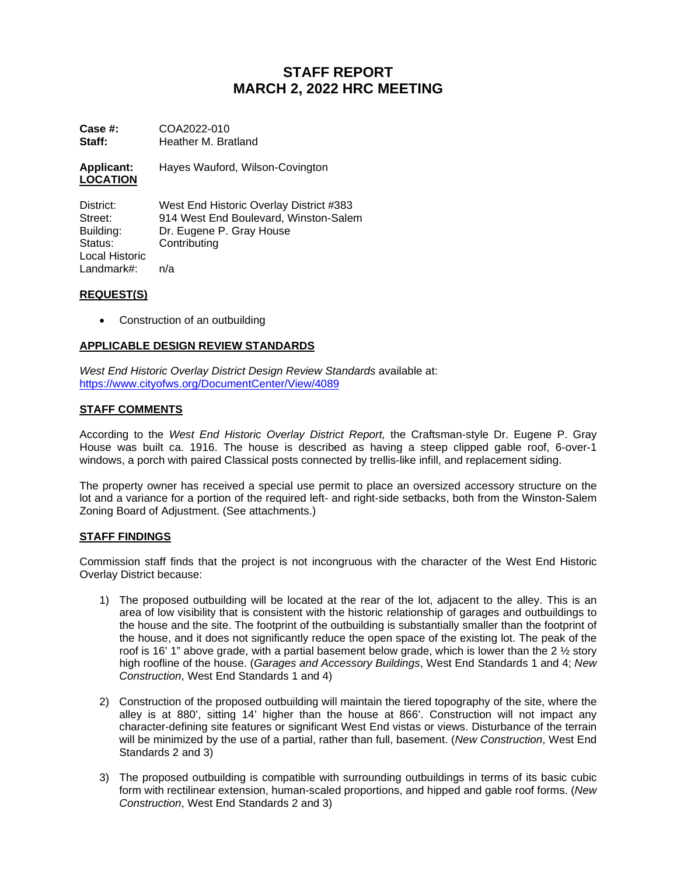# **STAFF REPORT MARCH 2, 2022 HRC MEETING**

**Case #:** COA2022-010<br>**Staff:** Heather M. Bra **Staff:** Heather M. Bratland

**Applicant:** Hayes Wauford, Wilson-Covington **LOCATION**

District: West End Historic Overlay District #383<br>Street: 914 West End Boulevard. Winston-Sale Street: 914 West End Boulevard, Winston-Salem<br>
Building: Dr. Eugene P. Grav House Building: Dr. Eugene P. Gray House<br>Status: Contributing Contributing Local Historic Landmark#: n/a

## **REQUEST(S)**

• Construction of an outbuilding

## **APPLICABLE DESIGN REVIEW STANDARDS**

*West End Historic Overlay District Design Review Standards* available at: <https://www.cityofws.org/DocumentCenter/View/4089>

## **STAFF COMMENTS**

According to the *West End Historic Overlay District Report,* the Craftsman-style Dr. Eugene P. Gray House was built ca. 1916. The house is described as having a steep clipped gable roof, 6-over-1 windows, a porch with paired Classical posts connected by trellis-like infill, and replacement siding.

The property owner has received a special use permit to place an oversized accessory structure on the lot and a variance for a portion of the required left- and right-side setbacks, both from the Winston-Salem Zoning Board of Adjustment. (See attachments.)

#### **STAFF FINDINGS**

Commission staff finds that the project is not incongruous with the character of the West End Historic Overlay District because:

- 1) The proposed outbuilding will be located at the rear of the lot, adjacent to the alley. This is an area of low visibility that is consistent with the historic relationship of garages and outbuildings to the house and the site. The footprint of the outbuilding is substantially smaller than the footprint of the house, and it does not significantly reduce the open space of the existing lot. The peak of the roof is 16' 1" above grade, with a partial basement below grade, which is lower than the 2  $\frac{1}{2}$  story high roofline of the house. (*Garages and Accessory Buildings*, West End Standards 1 and 4; *New Construction*, West End Standards 1 and 4)
- 2) Construction of the proposed outbuilding will maintain the tiered topography of the site, where the alley is at 880', sitting 14' higher than the house at 866'. Construction will not impact any character-defining site features or significant West End vistas or views. Disturbance of the terrain will be minimized by the use of a partial, rather than full, basement. (*New Construction*, West End Standards 2 and 3)
- 3) The proposed outbuilding is compatible with surrounding outbuildings in terms of its basic cubic form with rectilinear extension, human-scaled proportions, and hipped and gable roof forms. (*New Construction*, West End Standards 2 and 3)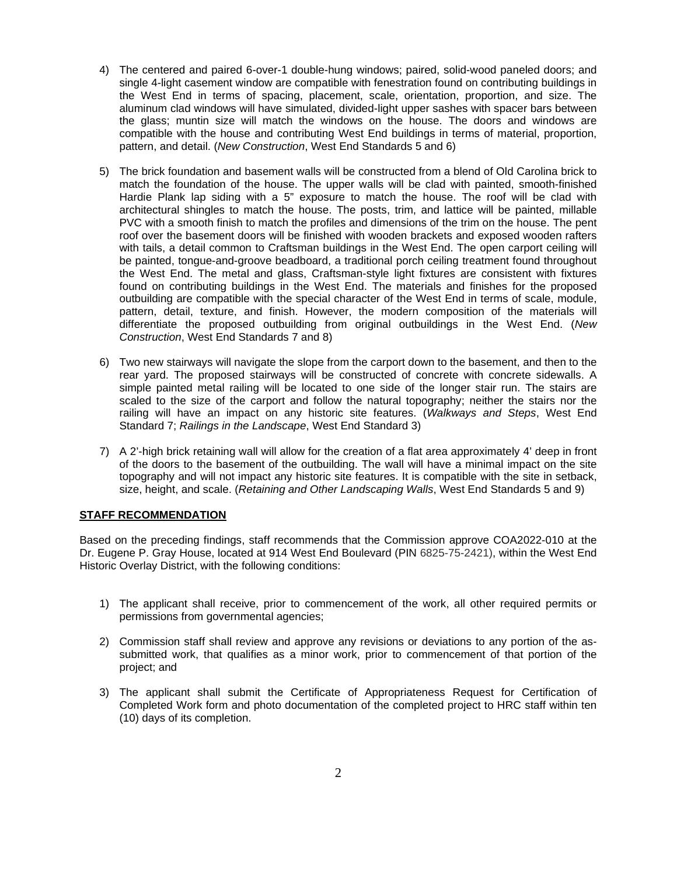- 4) The centered and paired 6-over-1 double-hung windows; paired, solid-wood paneled doors; and single 4-light casement window are compatible with fenestration found on contributing buildings in the West End in terms of spacing, placement, scale, orientation, proportion, and size. The aluminum clad windows will have simulated, divided-light upper sashes with spacer bars between the glass; muntin size will match the windows on the house. The doors and windows are compatible with the house and contributing West End buildings in terms of material, proportion, pattern, and detail. (*New Construction*, West End Standards 5 and 6)
- 5) The brick foundation and basement walls will be constructed from a blend of Old Carolina brick to match the foundation of the house. The upper walls will be clad with painted, smooth-finished Hardie Plank lap siding with a 5" exposure to match the house. The roof will be clad with architectural shingles to match the house. The posts, trim, and lattice will be painted, millable PVC with a smooth finish to match the profiles and dimensions of the trim on the house. The pent roof over the basement doors will be finished with wooden brackets and exposed wooden rafters with tails, a detail common to Craftsman buildings in the West End. The open carport ceiling will be painted, tongue-and-groove beadboard, a traditional porch ceiling treatment found throughout the West End. The metal and glass, Craftsman-style light fixtures are consistent with fixtures found on contributing buildings in the West End. The materials and finishes for the proposed outbuilding are compatible with the special character of the West End in terms of scale, module, pattern, detail, texture, and finish. However, the modern composition of the materials will differentiate the proposed outbuilding from original outbuildings in the West End. (*New Construction*, West End Standards 7 and 8)
- 6) Two new stairways will navigate the slope from the carport down to the basement, and then to the rear yard. The proposed stairways will be constructed of concrete with concrete sidewalls. A simple painted metal railing will be located to one side of the longer stair run. The stairs are scaled to the size of the carport and follow the natural topography; neither the stairs nor the railing will have an impact on any historic site features. (*Walkways and Steps*, West End Standard 7; *Railings in the Landscape*, West End Standard 3)
- 7) A 2'-high brick retaining wall will allow for the creation of a flat area approximately 4' deep in front of the doors to the basement of the outbuilding. The wall will have a minimal impact on the site topography and will not impact any historic site features. It is compatible with the site in setback, size, height, and scale. (*Retaining and Other Landscaping Walls*, West End Standards 5 and 9)

#### **STAFF RECOMMENDATION**

Based on the preceding findings, staff recommends that the Commission approve COA2022-010 at the Dr. Eugene P. Gray House, located at 914 West End Boulevard (PIN 6825-75-2421), within the West End Historic Overlay District, with the following conditions:

- 1) The applicant shall receive, prior to commencement of the work, all other required permits or permissions from governmental agencies;
- 2) Commission staff shall review and approve any revisions or deviations to any portion of the assubmitted work, that qualifies as a minor work, prior to commencement of that portion of the project; and
- 3) The applicant shall submit the Certificate of Appropriateness Request for Certification of Completed Work form and photo documentation of the completed project to HRC staff within ten (10) days of its completion.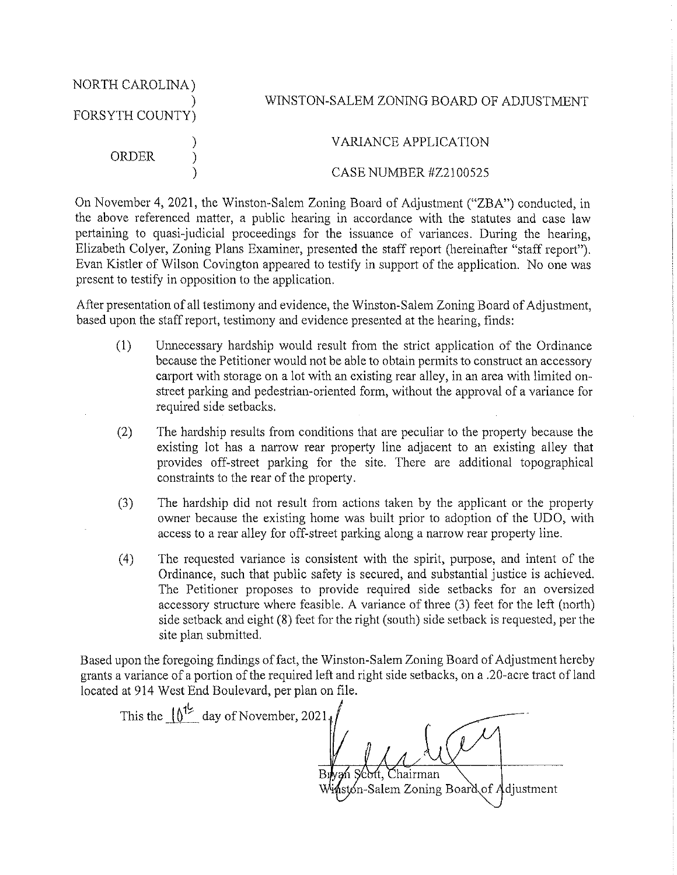| NORTH CAROLINA)<br>FORSYTH COUNTY) |  | WINSTON-SALEM ZONING BOARD OF ADJUSTMENT |
|------------------------------------|--|------------------------------------------|
| ORDER.                             |  | VARIANCE APPLICATION                     |
|                                    |  | CASE NUMBER #Z2100525                    |

On November 4, 2021, the Winston-Salem Zoning Board of Adjustment ("ZBA") conducted, in the above referenced matter, a public hearing in accordance with the statutes and case law pertaining to quasi-judicial proceedings for the issuance of variances. During the hearing, Elizabeth Colver, Zoning Plans Examiner, presented the staff report (hereinafter "staff report"). Evan Kistler of Wilson Covington appeared to testify in support of the application. No one was present to testify in opposition to the application.

After presentation of all testimony and evidence, the Winston-Salem Zoning Board of Adjustment, based upon the staff report, testimony and evidence presented at the hearing, finds:

- $(1)$ Unnecessary hardship would result from the strict application of the Ordinance because the Petitioner would not be able to obtain permits to construct an accessory carport with storage on a lot with an existing rear alley, in an area with limited onstreet parking and pedestrian-oriented form, without the approval of a variance for required side setbacks.
- $(2)$ The hardship results from conditions that are peculiar to the property because the existing lot has a narrow rear property line adjacent to an existing alley that provides off-street parking for the site. There are additional topographical constraints to the rear of the property.
- The hardship did not result from actions taken by the applicant or the property  $(3)$ owner because the existing home was built prior to adoption of the UDO, with access to a rear alley for off-street parking along a narrow rear property line.
- $(4)$ The requested variance is consistent with the spirit, purpose, and intent of the Ordinance, such that public safety is secured, and substantial justice is achieved. The Petitioner proposes to provide required side setbacks for an oversized accessory structure where feasible. A variance of three (3) feet for the left (north) side setback and eight (8) feet for the right (south) side setback is requested, per the site plan submitted.

Based upon the foregoing findings of fact, the Winston-Salem Zoning Board of Adjustment hereby grants a variance of a portion of the required left and right side setbacks, on a .20-acre tract of land located at 914 West End Boulevard, per plan on file.

This the  $10^{1/2}$  day of November, 2021, Chairman on-Salem Zoning Board of Adjustment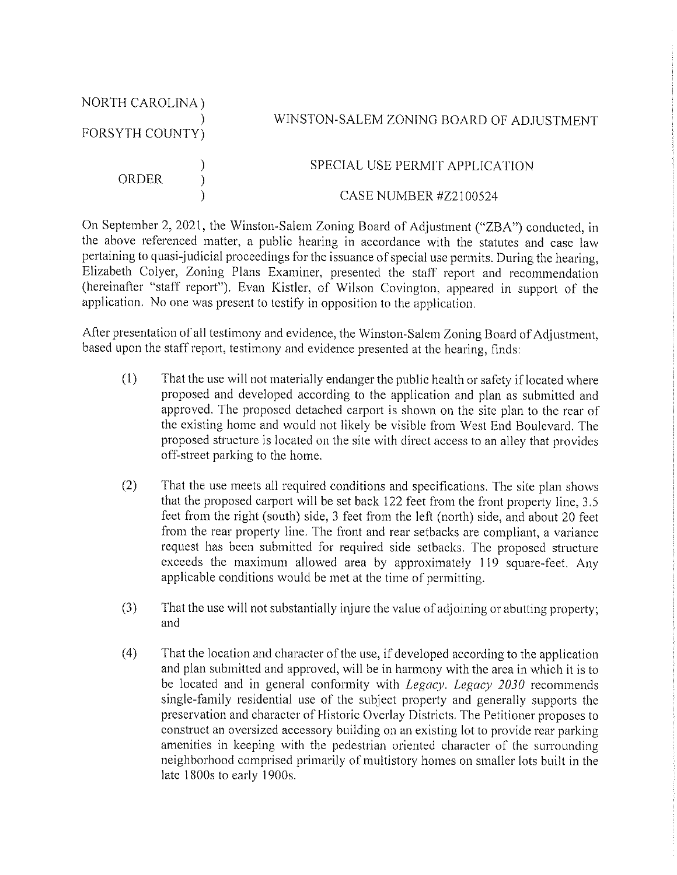| NORTH CAROLINA)<br>FORSYTH COUNTY) |  | WINSTON-SALEM ZONING BOARD OF ADJUSTMENT |
|------------------------------------|--|------------------------------------------|
| ORDER                              |  | SPECIAL USE PERMIT APPLICATION           |
|                                    |  | CASE NUMBER #Z2100524                    |

On September 2, 2021, the Winston-Salem Zoning Board of Adjustment ("ZBA") conducted, in the above referenced matter, a public hearing in accordance with the statutes and case law pertaining to quasi-judicial proceedings for the issuance of special use permits. During the hearing, Elizabeth Colver, Zoning Plans Examiner, presented the staff report and recommendation (hereinafter "staff report"). Evan Kistler, of Wilson Covington, appeared in support of the application. No one was present to testify in opposition to the application.

After presentation of all testimony and evidence, the Winston-Salem Zoning Board of Adjustment, based upon the staff report, testimony and evidence presented at the hearing, finds:

- $(1)$ That the use will not materially endanger the public health or safety if located where proposed and developed according to the application and plan as submitted and approved. The proposed detached carport is shown on the site plan to the rear of the existing home and would not likely be visible from West End Boulevard. The proposed structure is located on the site with direct access to an alley that provides off-street parking to the home.
- $(2)$ That the use meets all required conditions and specifications. The site plan shows that the proposed carport will be set back 122 feet from the front property line, 3.5 feet from the right (south) side, 3 feet from the left (north) side, and about 20 feet from the rear property line. The front and rear setbacks are compliant, a variance request has been submitted for required side setbacks. The proposed structure exceeds the maximum allowed area by approximately 119 square-feet. Any applicable conditions would be met at the time of permitting.
- $(3)$ That the use will not substantially injure the value of adjoining or abutting property; and
- $(4)$ That the location and character of the use, if developed according to the application and plan submitted and approved, will be in harmony with the area in which it is to be located and in general conformity with *Legacy*. *Legacy 2030* recommends single-family residential use of the subject property and generally supports the preservation and character of Historic Overlay Districts. The Petitioner proposes to construct an oversized accessory building on an existing lot to provide rear parking amenities in keeping with the pedestrian oriented character of the surrounding neighborhood comprised primarily of multistory homes on smaller lots built in the late 1800s to early 1900s.